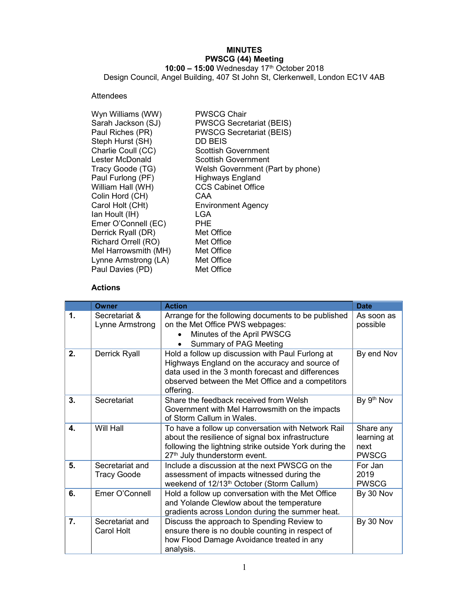# MINUTES PWSCG (44) Meeting

10:00 – 15:00 Wednesday 17<sup>th</sup> October 2018 Design Council, Angel Building, 407 St John St, Clerkenwell, London EC1V 4AB

## Attendees

| Wyn Williams (WW)    | <b>PWSCG Chair</b>               |
|----------------------|----------------------------------|
| Sarah Jackson (SJ)   | <b>PWSCG Secretariat (BEIS)</b>  |
| Paul Riches (PR)     | <b>PWSCG Secretariat (BEIS)</b>  |
| Steph Hurst (SH)     | DD BEIS                          |
| Charlie Coull (CC)   | Scottish Government              |
| Lester McDonald      | Scottish Government              |
| Tracy Goode (TG)     | Welsh Government (Part by phone) |
| Paul Furlong (PF)    | <b>Highways England</b>          |
| William Hall (WH)    | <b>CCS Cabinet Office</b>        |
| Colin Hord (CH)      | CAA                              |
| Carol Holt (CHt)     | <b>Environment Agency</b>        |
| lan Hoult (IH)       | LGA                              |
| Emer O'Connell (EC)  | PHE                              |
| Derrick Ryall (DR)   | Met Office                       |
| Richard Orrell (RO)  | Met Office                       |
| Mel Harrowsmith (MH) | Met Office                       |
| Lynne Armstrong (LA) | Met Office                       |
| Paul Davies (PD)     | Met Office                       |

### Actions

|                  | <b>Owner</b>                          | <b>Action</b>                                                                                                                                                                                                             | <b>Date</b>                                      |
|------------------|---------------------------------------|---------------------------------------------------------------------------------------------------------------------------------------------------------------------------------------------------------------------------|--------------------------------------------------|
| $\mathbf 1$ .    | Secretariat &<br>Lynne Armstrong      | Arrange for the following documents to be published<br>on the Met Office PWS webpages:<br>Minutes of the April PWSCG<br><b>Summary of PAG Meeting</b>                                                                     | As soon as<br>possible                           |
| 2.               | <b>Derrick Ryall</b>                  | Hold a follow up discussion with Paul Furlong at<br>Highways England on the accuracy and source of<br>data used in the 3 month forecast and differences<br>observed between the Met Office and a competitors<br>offering. | By end Nov                                       |
| 3 <sub>1</sub>   | Secretariat                           | Share the feedback received from Welsh<br>Government with Mel Harrowsmith on the impacts<br>of Storm Callum in Wales.                                                                                                     | By 9th Nov                                       |
| 4.               | Will Hall                             | To have a follow up conversation with Network Rail<br>about the resilience of signal box infrastructure<br>following the lightning strike outside York during the<br>27th July thunderstorm event.                        | Share any<br>learning at<br>next<br><b>PWSCG</b> |
| 5.               | Secretariat and<br><b>Tracy Goode</b> | Include a discussion at the next PWSCG on the<br>assessment of impacts witnessed during the<br>weekend of 12/13 <sup>th</sup> October (Storm Callum)                                                                      | For Jan<br>2019<br><b>PWSCG</b>                  |
| 6.               | Emer O'Connell                        | Hold a follow up conversation with the Met Office<br>and Yolande Clewlow about the temperature<br>gradients across London during the summer heat.                                                                         | By 30 Nov                                        |
| $\overline{7}$ . | Secretariat and<br><b>Carol Holt</b>  | Discuss the approach to Spending Review to<br>ensure there is no double counting in respect of<br>how Flood Damage Avoidance treated in any<br>analysis.                                                                  | By 30 Nov                                        |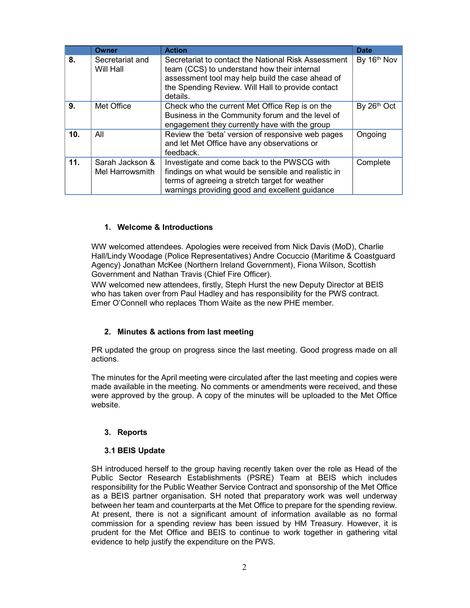|                 | <b>Owner</b>                       | <b>Action</b>                                                                                                                                                                                                           | <b>Date</b> |
|-----------------|------------------------------------|-------------------------------------------------------------------------------------------------------------------------------------------------------------------------------------------------------------------------|-------------|
| 8.              | Secretariat and<br>Will Hall       | Secretariat to contact the National Risk Assessment<br>team (CCS) to understand how their internal<br>assessment tool may help build the case ahead of<br>the Spending Review. Will Hall to provide contact<br>details. | By 16th Nov |
| 9.              | Met Office                         | Check who the current Met Office Rep is on the<br>Business in the Community forum and the level of<br>engagement they currently have with the group                                                                     | By 26th Oct |
| 10 <sub>1</sub> | All                                | Review the 'beta' version of responsive web pages<br>and let Met Office have any observations or<br>feedback.                                                                                                           | Ongoing     |
| 11.             | Sarah Jackson &<br>Mel Harrowsmith | Investigate and come back to the PWSCG with<br>findings on what would be sensible and realistic in<br>terms of agreeing a stretch target for weather<br>warnings providing good and excellent guidance                  | Complete    |

#### 1. Welcome & Introductions

WW welcomed attendees. Apologies were received from Nick Davis (MoD), Charlie Hall/Lindy Woodage (Police Representatives) Andre Cocuccio (Maritime & Coastguard Agency) Jonathan McKee (Northern Ireland Government), Fiona Wilson, Scottish Government and Nathan Travis (Chief Fire Officer).

WW welcomed new attendees, firstly, Steph Hurst the new Deputy Director at BEIS who has taken over from Paul Hadley and has responsibility for the PWS contract. Emer O'Connell who replaces Thom Waite as the new PHE member.

### 2. Minutes & actions from last meeting

PR updated the group on progress since the last meeting. Good progress made on all actions.

The minutes for the April meeting were circulated after the last meeting and copies were made available in the meeting. No comments or amendments were received, and these were approved by the group. A copy of the minutes will be uploaded to the Met Office website.

### 3. Reports

#### 3.1 BEIS Update

SH introduced herself to the group having recently taken over the role as Head of the Public Sector Research Establishments (PSRE) Team at BEIS which includes responsibility for the Public Weather Service Contract and sponsorship of the Met Office as a BEIS partner organisation. SH noted that preparatory work was well underway between her team and counterparts at the Met Office to prepare for the spending review. At present, there is not a significant amount of information available as no formal commission for a spending review has been issued by HM Treasury. However, it is prudent for the Met Office and BEIS to continue to work together in gathering vital evidence to help justify the expenditure on the PWS.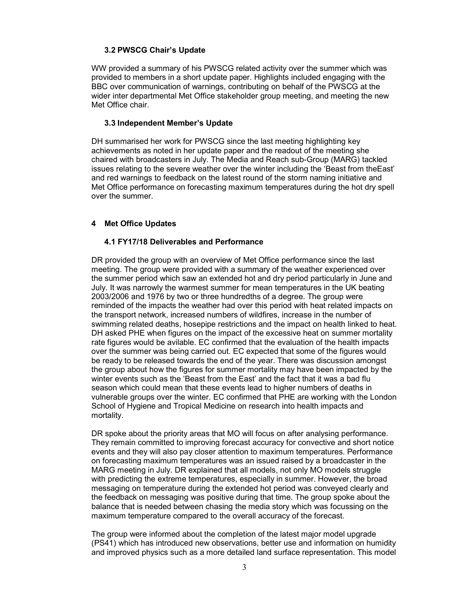### 3.2 PWSCG Chair's Update

WW provided a summary of his PWSCG related activity over the summer which was provided to members in a short update paper. Highlights included engaging with the BBC over communication of warnings, contributing on behalf of the PWSCG at the wider inter departmental Met Office stakeholder group meeting, and meeting the new Met Office chair.

#### 3.3 Independent Member's Update

DH summarised her work for PWSCG since the last meeting highlighting key achievements as noted in her update paper and the readout of the meeting she chaired with broadcasters in July. The Media and Reach sub-Group (MARG) tackled issues relating to the severe weather over the winter including the 'Beast from theEast' and red warnings to feedback on the latest round of the storm naming initiative and Met Office performance on forecasting maximum temperatures during the hot dry spell over the summer.

### 4 Met Office Updates

#### 4.1 FY17/18 Deliverables and Performance

DR provided the group with an overview of Met Office performance since the last meeting. The group were provided with a summary of the weather experienced over the summer period which saw an extended hot and dry period particularly in June and July. It was narrowly the warmest summer for mean temperatures in the UK beating 2003/2006 and 1976 by two or three hundredths of a degree. The group were reminded of the impacts the weather had over this period with heat related impacts on the transport network, increased numbers of wildfires, increase in the number of swimming related deaths, hosepipe restrictions and the impact on health linked to heat. DH asked PHE when figures on the impact of the excessive heat on summer mortality rate figures would be avilable. EC confirmed that the evaluation of the health impacts over the summer was being carried out. EC expected that some of the figures would be ready to be released towards the end of the year. There was discussion amongst the group about how the figures for summer mortality may have been impacted by the winter events such as the 'Beast from the East' and the fact that it was a bad flu season which could mean that these events lead to higher numbers of deaths in vulnerable groups over the winter. EC confirmed that PHE are working with the London School of Hygiene and Tropical Medicine on research into health impacts and mortality.

DR spoke about the priority areas that MO will focus on after analysing performance. They remain committed to improving forecast accuracy for convective and short notice events and they will also pay closer attention to maximum temperatures. Performance on forecasting maximum temperatures was an issued raised by a broadcaster in the MARG meeting in July. DR explained that all models, not only MO models struggle with predicting the extreme temperatures, especially in summer. However, the broad messaging on temperature during the extended hot period was conveyed clearly and the feedback on messaging was positive during that time. The group spoke about the balance that is needed between chasing the media story which was focussing on the maximum temperature compared to the overall accuracy of the forecast.

The group were informed about the completion of the latest major model upgrade (PS41) which has introduced new observations, better use and information on humidity and improved physics such as a more detailed land surface representation. This model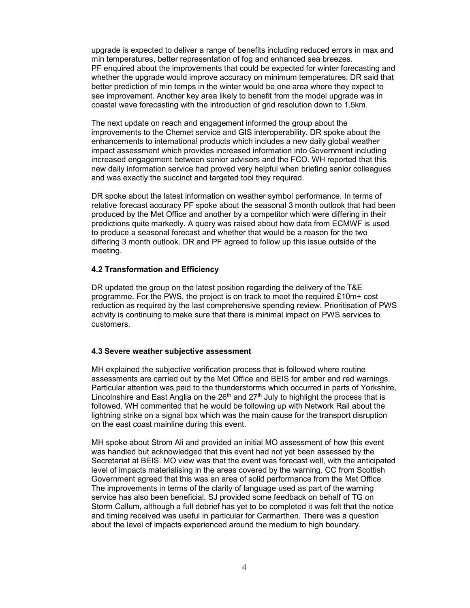upgrade is expected to deliver a range of benefits including reduced errors in max and min temperatures, better representation of fog and enhanced sea breezes. PF enquired about the improvements that could be expected for winter forecasting and whether the upgrade would improve accuracy on minimum temperatures. DR said that better prediction of min temps in the winter would be one area where they expect to see improvement. Another key area likely to benefit from the model upgrade was in coastal wave forecasting with the introduction of grid resolution down to 1.5km.

The next update on reach and engagement informed the group about the improvements to the Chemet service and GIS interoperability. DR spoke about the enhancements to international products which includes a new daily global weather impact assessment which provides increased information into Government including increased engagement between senior advisors and the FCO. WH reported that this new daily information service had proved very helpful when briefing senior colleagues and was exactly the succinct and targeted tool they required.

DR spoke about the latest information on weather symbol performance. In terms of relative forecast accuracy PF spoke about the seasonal 3 month outlook that had been produced by the Met Office and another by a competitor which were differing in their predictions quite markedly. A query was raised about how data from ECMWF is used to produce a seasonal forecast and whether that would be a reason for the two differing 3 month outlook. DR and PF agreed to follow up this issue outside of the meeting.

#### 4.2 Transformation and Efficiency

DR updated the group on the latest position regarding the delivery of the T&E programme. For the PWS, the project is on track to meet the required £10m+ cost reduction as required by the last comprehensive spending review. Prioritisation of PWS activity is continuing to make sure that there is minimal impact on PWS services to customers.

#### 4.3 Severe weather subjective assessment

MH explained the subjective verification process that is followed where routine assessments are carried out by the Met Office and BEIS for amber and red warnings. Particular attention was paid to the thunderstorms which occurred in parts of Yorkshire, Lincolnshire and East Anglia on the  $26<sup>th</sup>$  and  $27<sup>th</sup>$  July to highlight the process that is followed. WH commented that he would be following up with Network Rail about the lightning strike on a signal box which was the main cause for the transport disruption on the east coast mainline during this event.

MH spoke about Strom Ali and provided an initial MO assessment of how this event was handled but acknowledged that this event had not yet been assessed by the Secretariat at BEIS. MO view was that the event was forecast well, with the anticipated level of impacts materialising in the areas covered by the warning. CC from Scottish Government agreed that this was an area of solid performance from the Met Office. The improvements in terms of the clarity of language used as part of the warning service has also been beneficial. SJ provided some feedback on behalf of TG on Storm Callum, although a full debrief has yet to be completed it was felt that the notice and timing received was useful in particular for Carmarthen. There was a question about the level of impacts experienced around the medium to high boundary.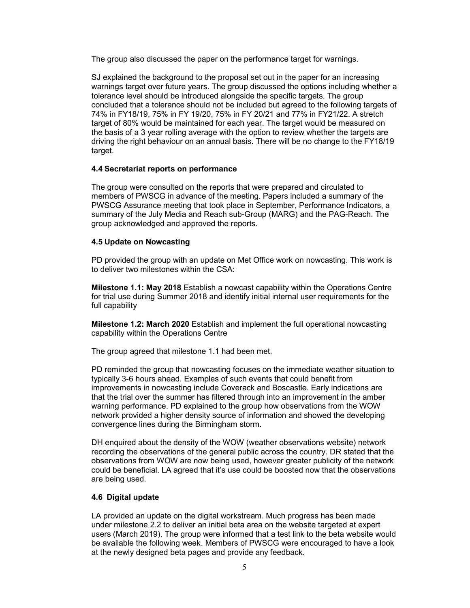The group also discussed the paper on the performance target for warnings.

SJ explained the background to the proposal set out in the paper for an increasing warnings target over future years. The group discussed the options including whether a tolerance level should be introduced alongside the specific targets. The group concluded that a tolerance should not be included but agreed to the following targets of 74% in FY18/19, 75% in FY 19/20, 75% in FY 20/21 and 77% in FY21/22. A stretch target of 80% would be maintained for each year. The target would be measured on the basis of a 3 year rolling average with the option to review whether the targets are driving the right behaviour on an annual basis. There will be no change to the FY18/19 target.

### 4.4 Secretariat reports on performance

The group were consulted on the reports that were prepared and circulated to members of PWSCG in advance of the meeting. Papers included a summary of the PWSCG Assurance meeting that took place in September, Performance Indicators, a summary of the July Media and Reach sub-Group (MARG) and the PAG-Reach. The group acknowledged and approved the reports.

### 4.5 Update on Nowcasting

PD provided the group with an update on Met Office work on nowcasting. This work is to deliver two milestones within the CSA:

Milestone 1.1: May 2018 Establish a nowcast capability within the Operations Centre for trial use during Summer 2018 and identify initial internal user requirements for the full capability

Milestone 1.2: March 2020 Establish and implement the full operational nowcasting capability within the Operations Centre

The group agreed that milestone 1.1 had been met.

PD reminded the group that nowcasting focuses on the immediate weather situation to typically 3-6 hours ahead. Examples of such events that could benefit from improvements in nowcasting include Coverack and Boscastle. Early indications are that the trial over the summer has filtered through into an improvement in the amber warning performance. PD explained to the group how observations from the WOW network provided a higher density source of information and showed the developing convergence lines during the Birmingham storm.

DH enquired about the density of the WOW (weather observations website) network recording the observations of the general public across the country. DR stated that the observations from WOW are now being used, however greater publicity of the network could be beneficial. LA agreed that it's use could be boosted now that the observations are being used.

### 4.6 Digital update

LA provided an update on the digital workstream. Much progress has been made under milestone 2.2 to deliver an initial beta area on the website targeted at expert users (March 2019). The group were informed that a test link to the beta website would be available the following week. Members of PWSCG were encouraged to have a look at the newly designed beta pages and provide any feedback.